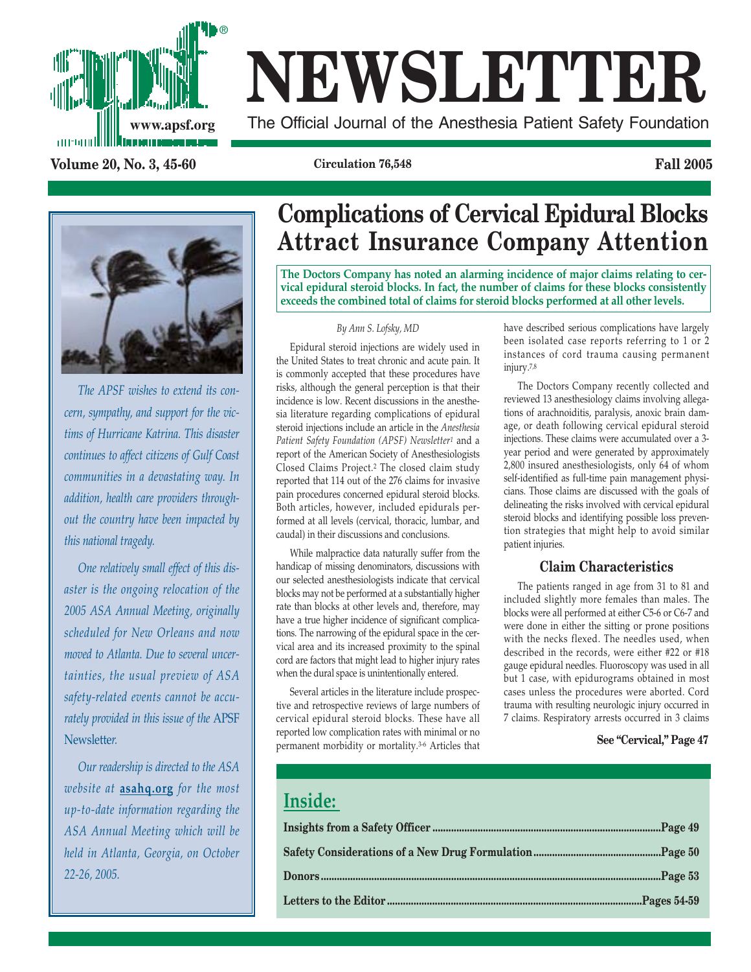

# **NEWSLETTER**

**www.apsf.org** The Official Journal of the Anesthesia Patient Safety Foundation

**Volume 20, No. 3, 45-60 Circulation 76,548 Fall 2005**



*The APSF wishes to extend its concern, sympathy, and support for the victims of Hurricane Katrina. This disaster continues to affect citizens of Gulf Coast communities in a devastating way. In addition, health care providers throughout the country have been impacted by this national tragedy.*

*One relatively small effect of this disaster is the ongoing relocation of the 2005 ASA Annual Meeting, originally scheduled for New Orleans and now moved to Atlanta. Due to several uncertainties, the usual preview of ASA safety-related events cannot be accurately provided in this issue of the* APSF Newslette*r.* 

*Our readership is directed to the ASA website at* **asahq.org** *for the most up-to-date information regarding the ASA Annual Meeting which will be held in Atlanta, Georgia, on October 22-26, 2005.*

# **Complications of Cervical Epidural Blocks Attract Insurance Company Attention**

**The Doctors Company has noted an alarming incidence of major claims relating to cervical epidural steroid blocks. In fact, the number of claims for these blocks consistently exceeds the combined total of claims for steroid blocks performed at all other levels.**

#### *By Ann S. Lofsky, MD*

Epidural steroid injections are widely used in the United States to treat chronic and acute pain. It is commonly accepted that these procedures have risks, although the general perception is that their incidence is low. Recent discussions in the anesthesia literature regarding complications of epidural steroid injections include an article in the *Anesthesia Patient Safety Foundation (APSF) Newsletter1* and a report of the American Society of Anesthesiologists Closed Claims Project.2 The closed claim study reported that 114 out of the 276 claims for invasive pain procedures concerned epidural steroid blocks. Both articles, however, included epidurals performed at all levels (cervical, thoracic, lumbar, and caudal) in their discussions and conclusions.

While malpractice data naturally suffer from the handicap of missing denominators, discussions with our selected anesthesiologists indicate that cervical blocks may not be performed at a substantially higher rate than blocks at other levels and, therefore, may have a true higher incidence of significant complications. The narrowing of the epidural space in the cervical area and its increased proximity to the spinal cord are factors that might lead to higher injury rates when the dural space is unintentionally entered.

Several articles in the literature include prospective and retrospective reviews of large numbers of cervical epidural steroid blocks. These have all reported low complication rates with minimal or no permanent morbidity or mortality.3-6 Articles that

have described serious complications have largely been isolated case reports referring to 1 or 2 instances of cord trauma causing permanent injury.7,8

The Doctors Company recently collected and reviewed 13 anesthesiology claims involving allegations of arachnoiditis, paralysis, anoxic brain damage, or death following cervical epidural steroid injections. These claims were accumulated over a 3 year period and were generated by approximately 2,800 insured anesthesiologists, only 64 of whom self-identified as full-time pain management physicians. Those claims are discussed with the goals of delineating the risks involved with cervical epidural steroid blocks and identifying possible loss prevention strategies that might help to avoid similar patient injuries.

#### **Claim Characteristics**

The patients ranged in age from 31 to 81 and included slightly more females than males. The blocks were all performed at either C5-6 or C6-7 and were done in either the sitting or prone positions with the necks flexed. The needles used, when described in the records, were either #22 or #18 gauge epidural needles. Fluoroscopy was used in all but 1 case, with epidurograms obtained in most cases unless the procedures were aborted. Cord trauma with resulting neurologic injury occurred in 7 claims. Respiratory arrests occurred in 3 claims

#### **See "Cervical," Page 47**

### **Inside:**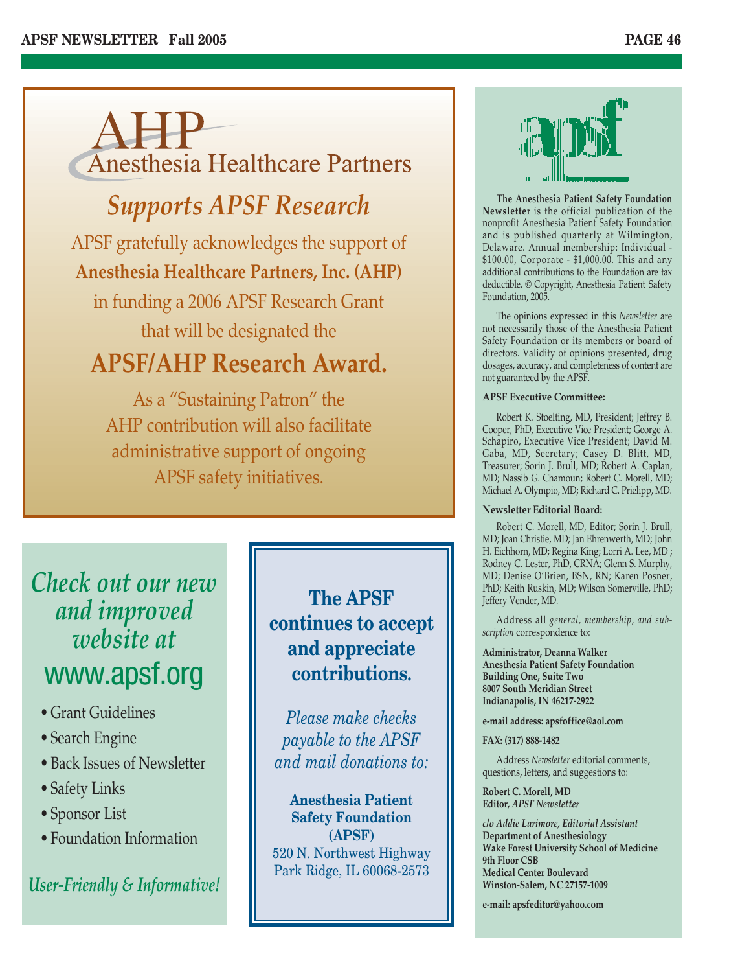

# *Supports APSF Research*

APSF gratefully acknowledges the support of **Anesthesia Healthcare Partners, Inc. (AHP)**  in funding a 2006 APSF Research Grant that will be designated the

# **APSF/AHP Research Award.**

As a "Sustaining Patron" the AHP contribution will also facilitate administrative support of ongoing APSF safety initiatives.

# *Check out our new and improved website at* www.apsf.org

- Grant Guidelines
- Search Engine
- Back Issues of Newsletter
- Safety Links
- Sponsor List
- Foundation Information

### *User-Friendly & Informative!*

**The APSF continues to accept and appreciate contributions.** 

*Please make checks payable to the APSF and mail donations to:*

**Anesthesia Patient Safety Foundation (APSF)** 520 N. Northwest Highway Park Ridge, IL 60068-2573



**The Anesthesia Patient Safety Foundation Newsletter** is the official publication of the nonprofit Anesthesia Patient Safety Foundation and is published quarterly at Wilmington, Delaware. Annual membership: Individual - \$100.00, Corporate - \$1,000.00. This and any additional contributions to the Foundation are tax deductible. © Copyright, Anesthesia Patient Safety Foundation, 2005.

The opinions expressed in this *Newsletter* are not necessarily those of the Anesthesia Patient Safety Foundation or its members or board of directors. Validity of opinions presented, drug dosages, accuracy, and completeness of content are not guaranteed by the APSF.

#### **APSF Executive Committee:**

Robert K. Stoelting, MD, President; Jeffrey B. Cooper, PhD, Executive Vice President; George A. Schapiro, Executive Vice President; David M. Gaba, MD, Secretary; Casey D. Blitt, MD, Treasurer; Sorin J. Brull, MD; Robert A. Caplan, MD; Nassib G. Chamoun; Robert C. Morell, MD; Michael A. Olympio, MD; Richard C. Prielipp, MD.

#### **Newsletter Editorial Board:**

Robert C. Morell, MD, Editor; Sorin J. Brull, MD; Joan Christie, MD; Jan Ehrenwerth, MD; John H. Eichhorn, MD; Regina King; Lorri A. Lee, MD ; Rodney C. Lester, PhD, CRNA; Glenn S. Murphy, MD; Denise O'Brien, BSN, RN; Karen Posner, PhD; Keith Ruskin, MD; Wilson Somerville, PhD; Jeffery Vender, MD.

Address all *general, membership, and subscription* correspondence to:

**Administrator, Deanna Walker Anesthesia Patient Safety Foundation Building One, Suite Two 8007 South Meridian Street Indianapolis, IN 46217-2922**

**e-mail address: apsfoffice@aol.com**

#### **FAX: (317) 888-1482**

Address *Newsletter* editorial comments, questions, letters, and suggestions to:

**Robert C. Morell, MD Editor,** *APSF Newsletter*

*c/o Addie Larimore, Editorial Assistant* **Department of Anesthesiology Wake Forest University School of Medicine 9th Floor CSB Medical Center Boulevard Winston-Salem, NC 27157-1009**

**e-mail: apsfeditor@yahoo.com**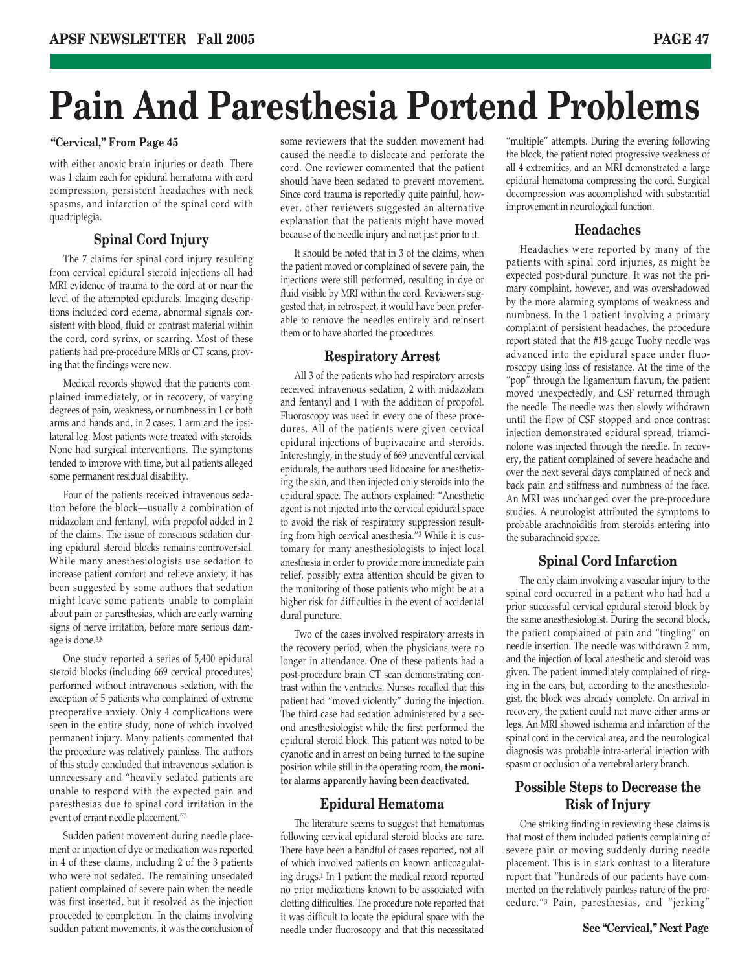# **Pain And Paresthesia Portend Problems**

with either anoxic brain injuries or death. There was 1 claim each for epidural hematoma with cord compression, persistent headaches with neck spasms, and infarction of the spinal cord with quadriplegia.

#### **Spinal Cord Injury**

The 7 claims for spinal cord injury resulting from cervical epidural steroid injections all had MRI evidence of trauma to the cord at or near the level of the attempted epidurals. Imaging descriptions included cord edema, abnormal signals consistent with blood, fluid or contrast material within the cord, cord syrinx, or scarring. Most of these patients had pre-procedure MRIs or CT scans, proving that the findings were new.

Medical records showed that the patients complained immediately, or in recovery, of varying degrees of pain, weakness, or numbness in 1 or both arms and hands and, in 2 cases, 1 arm and the ipsilateral leg. Most patients were treated with steroids. None had surgical interventions. The symptoms tended to improve with time, but all patients alleged some permanent residual disability.

Four of the patients received intravenous sedation before the block––usually a combination of midazolam and fentanyl, with propofol added in 2 of the claims. The issue of conscious sedation during epidural steroid blocks remains controversial. While many anesthesiologists use sedation to increase patient comfort and relieve anxiety, it has been suggested by some authors that sedation might leave some patients unable to complain about pain or paresthesias, which are early warning signs of nerve irritation, before more serious damage is done.3,8

One study reported a series of 5,400 epidural steroid blocks (including 669 cervical procedures) performed without intravenous sedation, with the exception of 5 patients who complained of extreme preoperative anxiety. Only 4 complications were seen in the entire study, none of which involved permanent injury. Many patients commented that the procedure was relatively painless. The authors of this study concluded that intravenous sedation is unnecessary and "heavily sedated patients are unable to respond with the expected pain and paresthesias due to spinal cord irritation in the event of errant needle placement."3

Sudden patient movement during needle placement or injection of dye or medication was reported in 4 of these claims, including 2 of the 3 patients who were not sedated. The remaining unsedated patient complained of severe pain when the needle was first inserted, but it resolved as the injection proceeded to completion. In the claims involving sudden patient movements, it was the conclusion of

"Cervical," From Page 45 some reviewers that the sudden movement had "multiple" attempts. During the evening following some reviewers that the sudden movement had caused the needle to dislocate and perforate the cord. One reviewer commented that the patient should have been sedated to prevent movement. Since cord trauma is reportedly quite painful, however, other reviewers suggested an alternative explanation that the patients might have moved because of the needle injury and not just prior to it.

> It should be noted that in 3 of the claims, when the patient moved or complained of severe pain, the injections were still performed, resulting in dye or fluid visible by MRI within the cord. Reviewers suggested that, in retrospect, it would have been preferable to remove the needles entirely and reinsert them or to have aborted the procedures.

#### **Respiratory Arrest**

All 3 of the patients who had respiratory arrests received intravenous sedation, 2 with midazolam and fentanyl and 1 with the addition of propofol. Fluoroscopy was used in every one of these procedures. All of the patients were given cervical epidural injections of bupivacaine and steroids. Interestingly, in the study of 669 uneventful cervical epidurals, the authors used lidocaine for anesthetizing the skin, and then injected only steroids into the epidural space. The authors explained: "Anesthetic agent is not injected into the cervical epidural space to avoid the risk of respiratory suppression resulting from high cervical anesthesia."3 While it is customary for many anesthesiologists to inject local anesthesia in order to provide more immediate pain relief, possibly extra attention should be given to the monitoring of those patients who might be at a higher risk for difficulties in the event of accidental dural puncture.

Two of the cases involved respiratory arrests in the recovery period, when the physicians were no longer in attendance. One of these patients had a post-procedure brain CT scan demonstrating contrast within the ventricles. Nurses recalled that this patient had "moved violently" during the injection. The third case had sedation administered by a second anesthesiologist while the first performed the epidural steroid block. This patient was noted to be cyanotic and in arrest on being turned to the supine position while still in the operating room, **the monitor alarms apparently having been deactivated.**

#### **Epidural Hematoma**

The literature seems to suggest that hematomas following cervical epidural steroid blocks are rare. There have been a handful of cases reported, not all of which involved patients on known anticoagulating drugs.1 In 1 patient the medical record reported no prior medications known to be associated with clotting difficulties. The procedure note reported that it was difficult to locate the epidural space with the needle under fluoroscopy and that this necessitated

the block, the patient noted progressive weakness of all 4 extremities, and an MRI demonstrated a large epidural hematoma compressing the cord. Surgical decompression was accomplished with substantial improvement in neurological function.

#### **Headaches**

Headaches were reported by many of the patients with spinal cord injuries, as might be expected post-dural puncture. It was not the primary complaint, however, and was overshadowed by the more alarming symptoms of weakness and numbness. In the 1 patient involving a primary complaint of persistent headaches, the procedure report stated that the #18-gauge Tuohy needle was advanced into the epidural space under fluoroscopy using loss of resistance. At the time of the "pop" through the ligamentum flavum, the patient moved unexpectedly, and CSF returned through the needle. The needle was then slowly withdrawn until the flow of CSF stopped and once contrast injection demonstrated epidural spread, triamcinolone was injected through the needle. In recovery, the patient complained of severe headache and over the next several days complained of neck and back pain and stiffness and numbness of the face. An MRI was unchanged over the pre-procedure studies. A neurologist attributed the symptoms to probable arachnoiditis from steroids entering into the subarachnoid space.

#### **Spinal Cord Infarction**

The only claim involving a vascular injury to the spinal cord occurred in a patient who had had a prior successful cervical epidural steroid block by the same anesthesiologist. During the second block, the patient complained of pain and "tingling" on needle insertion. The needle was withdrawn 2 mm, and the injection of local anesthetic and steroid was given. The patient immediately complained of ringing in the ears, but, according to the anesthesiologist, the block was already complete. On arrival in recovery, the patient could not move either arms or legs. An MRI showed ischemia and infarction of the spinal cord in the cervical area, and the neurological diagnosis was probable intra-arterial injection with spasm or occlusion of a vertebral artery branch.

#### **Possible Steps to Decrease the Risk of Injury**

One striking finding in reviewing these claims is that most of them included patients complaining of severe pain or moving suddenly during needle placement. This is in stark contrast to a literature report that "hundreds of our patients have commented on the relatively painless nature of the procedure."3 Pain, paresthesias, and "jerking"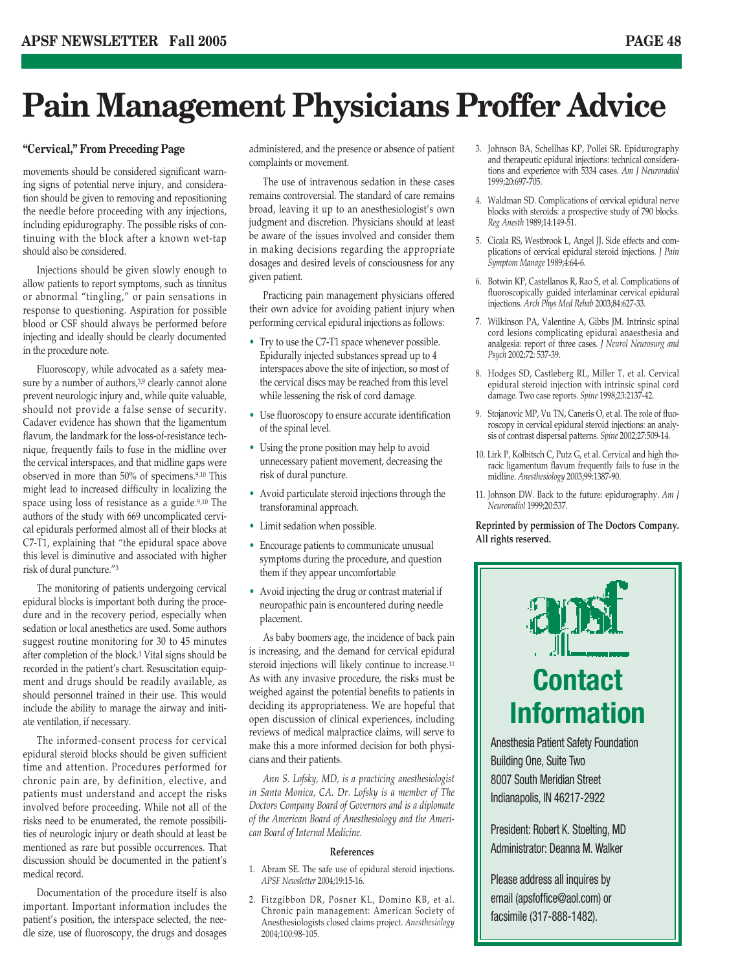# **Pain Management Physicians Proffer Advice**

#### **"Cervical," From Preceding Page**

movements should be considered significant warning signs of potential nerve injury, and consideration should be given to removing and repositioning the needle before proceeding with any injections, including epidurography. The possible risks of continuing with the block after a known wet-tap should also be considered.

Injections should be given slowly enough to allow patients to report symptoms, such as tinnitus or abnormal "tingling," or pain sensations in response to questioning. Aspiration for possible blood or CSF should always be performed before injecting and ideally should be clearly documented in the procedure note.

Fluoroscopy, while advocated as a safety measure by a number of authors,<sup>3,9</sup> clearly cannot alone prevent neurologic injury and, while quite valuable, should not provide a false sense of security. Cadaver evidence has shown that the ligamentum flavum, the landmark for the loss-of-resistance technique, frequently fails to fuse in the midline over the cervical interspaces, and that midline gaps were observed in more than 50% of specimens.9,10 This might lead to increased difficulty in localizing the space using loss of resistance as a guide.9,10 The authors of the study with 669 uncomplicated cervical epidurals performed almost all of their blocks at C7-T1, explaining that "the epidural space above this level is diminutive and associated with higher risk of dural puncture."3

The monitoring of patients undergoing cervical epidural blocks is important both during the procedure and in the recovery period, especially when sedation or local anesthetics are used. Some authors suggest routine monitoring for 30 to 45 minutes after completion of the block.3 Vital signs should be recorded in the patient's chart. Resuscitation equipment and drugs should be readily available, as should personnel trained in their use. This would include the ability to manage the airway and initiate ventilation, if necessary.

The informed-consent process for cervical epidural steroid blocks should be given sufficient time and attention. Procedures performed for chronic pain are, by definition, elective, and patients must understand and accept the risks involved before proceeding. While not all of the risks need to be enumerated, the remote possibilities of neurologic injury or death should at least be mentioned as rare but possible occurrences. That discussion should be documented in the patient's medical record.

Documentation of the procedure itself is also important. Important information includes the patient's position, the interspace selected, the needle size, use of fluoroscopy, the drugs and dosages administered, and the presence or absence of patient complaints or movement.

The use of intravenous sedation in these cases remains controversial. The standard of care remains broad, leaving it up to an anesthesiologist's own judgment and discretion. Physicians should at least be aware of the issues involved and consider them in making decisions regarding the appropriate dosages and desired levels of consciousness for any given patient.

Practicing pain management physicians offered their own advice for avoiding patient injury when performing cervical epidural injections as follows:

- Try to use the C7-T1 space whenever possible. Epidurally injected substances spread up to 4 interspaces above the site of injection, so most of the cervical discs may be reached from this level while lessening the risk of cord damage.
- Use fluoroscopy to ensure accurate identification of the spinal level.
- Using the prone position may help to avoid unnecessary patient movement, decreasing the risk of dural puncture.
- Avoid particulate steroid injections through the transforaminal approach.
- Limit sedation when possible.
- Encourage patients to communicate unusual symptoms during the procedure, and question them if they appear uncomfortable
- Avoid injecting the drug or contrast material if neuropathic pain is encountered during needle placement.

As baby boomers age, the incidence of back pain is increasing, and the demand for cervical epidural steroid injections will likely continue to increase.11 As with any invasive procedure, the risks must be weighed against the potential benefits to patients in deciding its appropriateness. We are hopeful that open discussion of clinical experiences, including reviews of medical malpractice claims, will serve to make this a more informed decision for both physicians and their patients.

*Ann S. Lofsky, MD, is a practicing anesthesiologist in Santa Monica, CA. Dr. Lofsky is a member of The Doctors Company Board of Governors and is a diplomate of the American Board of Anesthesiology and the American Board of Internal Medicine.*

#### **References**

- 1. Abram SE. The safe use of epidural steroid injections. *APSF Newsletter* 2004;19:15-16.
- 2. Fitzgibbon DR, Posner KL, Domino KB, et al. Chronic pain management: American Society of Anesthesiologists closed claims project. *Anesthesiology* 2004;100:98-105.
- 3. Johnson BA, Schellhas KP, Pollei SR. Epidurography and therapeutic epidural injections: technical considerations and experience with 5334 cases. *Am J Neuroradiol* 1999;20:697-705.
- 4. Waldman SD. Complications of cervical epidural nerve blocks with steroids: a prospective study of 790 blocks. *Reg Anesth* 1989;14:149-51.
- 5. Cicala RS, Westbrook L, Angel JJ. Side effects and complications of cervical epidural steroid injections. *J Pain Symptom Manage* 1989;4:64-6.
- 6. Botwin KP, Castellanos R, Rao S, et al. Complications of fluoroscopically guided interlaminar cervical epidural injections. *Arch Phys Med Rehab* 2003;84:627-33.
- 7. Wilkinson PA, Valentine A, Gibbs JM. Intrinsic spinal cord lesions complicating epidural anaesthesia and analgesia: report of three cases. *J Neurol Neurosurg and Psych* 2002;72: 537-39.
- 8. Hodges SD, Castleberg RL, Miller T, et al. Cervical epidural steroid injection with intrinsic spinal cord damage. Two case reports. *Spine* 1998;23:2137-42.
- 9. Stojanovic MP, Vu TN, Caneris O, et al. The role of fluoroscopy in cervical epidural steroid injections: an analysis of contrast dispersal patterns. *Spine* 2002;27:509-14.
- 10. Lirk P, Kolbitsch C, Putz G, et al. Cervical and high thoracic ligamentum flavum frequently fails to fuse in the midline. *Anesthesiology* 2003;99:1387-90.
- 11. Johnson DW. Back to the future: epidurography. *Am J Neuroradiol* 1999;20:537.

#### **Reprinted by permission of The Doctors Company. All rights reserved.**



Building One, Suite Two 8007 South Meridian Street Indianapolis, IN 46217-2922

President: Robert K. Stoelting, MD Administrator: Deanna M. Walker

Please address all inquires by email (apsfoffice@aol.com) or facsimile (317-888-1482).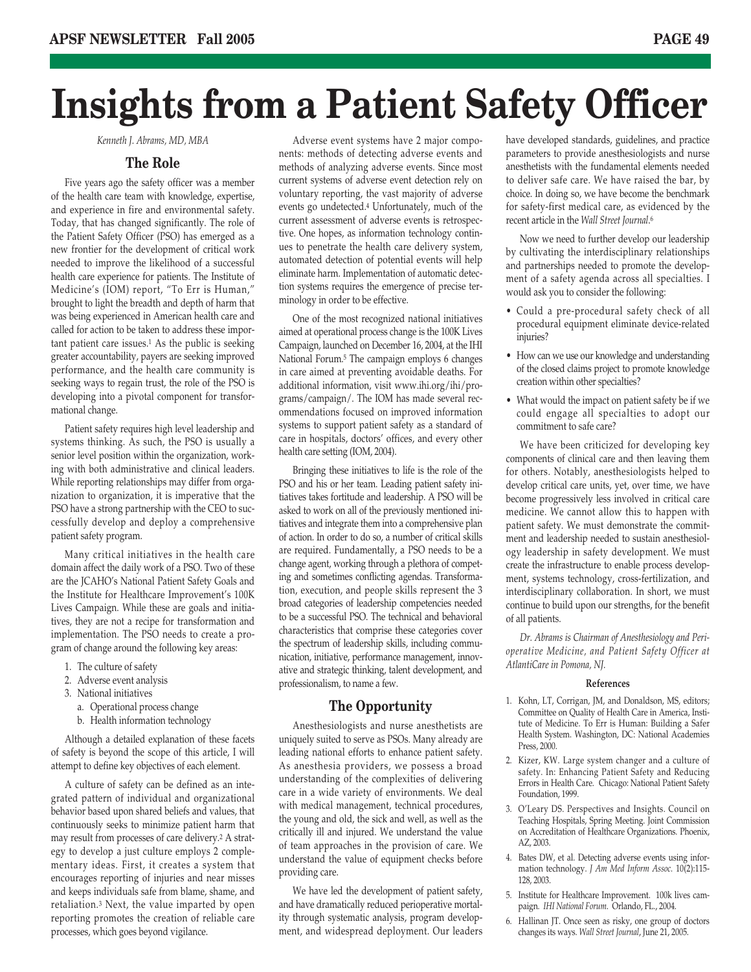# **Insights from a Patient Safety Officer**

*Kenneth J. Abrams, MD, MBA*

#### **The Role**

Five years ago the safety officer was a member of the health care team with knowledge, expertise, and experience in fire and environmental safety. Today, that has changed significantly. The role of the Patient Safety Officer (PSO) has emerged as a new frontier for the development of critical work needed to improve the likelihood of a successful health care experience for patients. The Institute of Medicine's (IOM) report, "To Err is Human," brought to light the breadth and depth of harm that was being experienced in American health care and called for action to be taken to address these important patient care issues.1 As the public is seeking greater accountability, payers are seeking improved performance, and the health care community is seeking ways to regain trust, the role of the PSO is developing into a pivotal component for transformational change.

Patient safety requires high level leadership and systems thinking. As such, the PSO is usually a senior level position within the organization, working with both administrative and clinical leaders. While reporting relationships may differ from organization to organization, it is imperative that the PSO have a strong partnership with the CEO to successfully develop and deploy a comprehensive patient safety program.

Many critical initiatives in the health care domain affect the daily work of a PSO. Two of these are the JCAHO's National Patient Safety Goals and the Institute for Healthcare Improvement's 100K Lives Campaign. While these are goals and initiatives, they are not a recipe for transformation and implementation. The PSO needs to create a program of change around the following key areas:

- 1. The culture of safety
- 2. Adverse event analysis
- 3. National initiatives
	- a. Operational process change
	- b. Health information technology

Although a detailed explanation of these facets of safety is beyond the scope of this article, I will attempt to define key objectives of each element.

A culture of safety can be defined as an integrated pattern of individual and organizational behavior based upon shared beliefs and values, that continuously seeks to minimize patient harm that may result from processes of care delivery.2 A strategy to develop a just culture employs 2 complementary ideas. First, it creates a system that encourages reporting of injuries and near misses and keeps individuals safe from blame, shame, and retaliation.3 Next, the value imparted by open reporting promotes the creation of reliable care processes, which goes beyond vigilance.

Adverse event systems have 2 major components: methods of detecting adverse events and methods of analyzing adverse events. Since most current systems of adverse event detection rely on voluntary reporting, the vast majority of adverse events go undetected.4 Unfortunately, much of the current assessment of adverse events is retrospective. One hopes, as information technology continues to penetrate the health care delivery system, automated detection of potential events will help eliminate harm. Implementation of automatic detection systems requires the emergence of precise terminology in order to be effective.

One of the most recognized national initiatives aimed at operational process change is the 100K Lives Campaign, launched on December 16, 2004, at the IHI National Forum.5 The campaign employs 6 changes in care aimed at preventing avoidable deaths. For additional information, visit www.ihi.org/ihi/programs/campaign/. The IOM has made several recommendations focused on improved information systems to support patient safety as a standard of care in hospitals, doctors' offices, and every other health care setting (IOM, 2004).

Bringing these initiatives to life is the role of the PSO and his or her team. Leading patient safety initiatives takes fortitude and leadership. A PSO will be asked to work on all of the previously mentioned initiatives and integrate them into a comprehensive plan of action. In order to do so, a number of critical skills are required. Fundamentally, a PSO needs to be a change agent, working through a plethora of competing and sometimes conflicting agendas. Transformation, execution, and people skills represent the 3 broad categories of leadership competencies needed to be a successful PSO. The technical and behavioral characteristics that comprise these categories cover the spectrum of leadership skills, including communication, initiative, performance management, innovative and strategic thinking, talent development, and professionalism, to name a few.

#### **The Opportunity**

Anesthesiologists and nurse anesthetists are uniquely suited to serve as PSOs. Many already are leading national efforts to enhance patient safety. As anesthesia providers, we possess a broad understanding of the complexities of delivering care in a wide variety of environments. We deal with medical management, technical procedures, the young and old, the sick and well, as well as the critically ill and injured. We understand the value of team approaches in the provision of care. We understand the value of equipment checks before providing care.

We have led the development of patient safety, and have dramatically reduced perioperative mortality through systematic analysis, program development, and widespread deployment. Our leaders

have developed standards, guidelines, and practice parameters to provide anesthesiologists and nurse anesthetists with the fundamental elements needed to deliver safe care. We have raised the bar, by choice. In doing so, we have become the benchmark for safety-first medical care, as evidenced by the recent article in the *Wall Street Journal*.6

Now we need to further develop our leadership by cultivating the interdisciplinary relationships and partnerships needed to promote the development of a safety agenda across all specialties. I would ask you to consider the following:

- Could a pre-procedural safety check of all procedural equipment eliminate device-related injuries?
- How can we use our knowledge and understanding of the closed claims project to promote knowledge creation within other specialties?
- What would the impact on patient safety be if we could engage all specialties to adopt our commitment to safe care?

We have been criticized for developing key components of clinical care and then leaving them for others. Notably, anesthesiologists helped to develop critical care units, yet, over time, we have become progressively less involved in critical care medicine. We cannot allow this to happen with patient safety. We must demonstrate the commitment and leadership needed to sustain anesthesiology leadership in safety development. We must create the infrastructure to enable process development, systems technology, cross-fertilization, and interdisciplinary collaboration. In short, we must continue to build upon our strengths, for the benefit of all patients.

*Dr. Abrams is Chairman of Anesthesiology and Perioperative Medicine, and Patient Safety Officer at AtlantiCare in Pomona, NJ.*

#### **References**

- 1. Kohn, LT, Corrigan, JM, and Donaldson, MS, editors; Committee on Quality of Health Care in America, Institute of Medicine. To Err is Human: Building a Safer Health System. Washington, DC: National Academies Press, 2000.
- 2. Kizer, KW. Large system changer and a culture of safety. In: Enhancing Patient Safety and Reducing Errors in Health Care. Chicago: National Patient Safety Foundation, 1999.
- 3. O'Leary DS. Perspectives and Insights. Council on Teaching Hospitals, Spring Meeting. Joint Commission on Accreditation of Healthcare Organizations. Phoenix, AZ, 2003.
- 4. Bates DW, et al. Detecting adverse events using information technology. *J Am Med Inform Assoc.* 10(2):115- 128, 2003.
- 5. Institute for Healthcare Improvement. 100k lives campaign. *IHI National Forum*. Orlando, FL., 2004.
- 6. Hallinan JT. Once seen as risky, one group of doctors changes its ways. *Wall Street Journal*, June 21, 2005.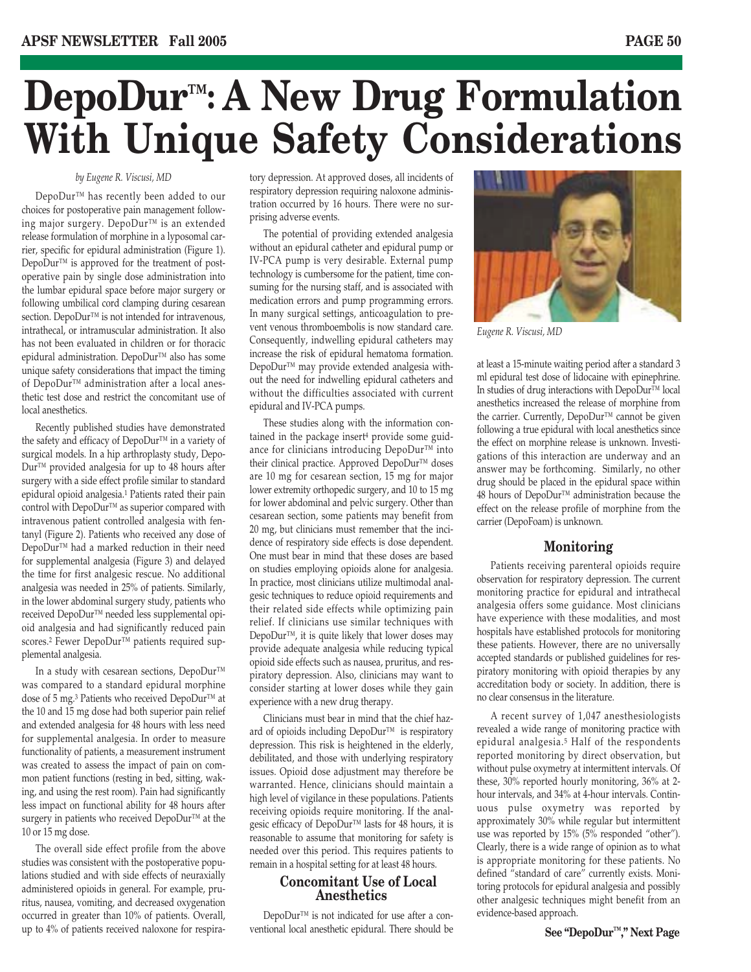# **DepoDur™: A New Drug Formulation With Unique Safety Considerations**

#### *by Eugene R. Viscusi, MD*

DepoDur™ has recently been added to our choices for postoperative pain management following major surgery. DepoDur™ is an extended release formulation of morphine in a lyposomal carrier, specific for epidural administration (Figure 1). DepoDur<sup>™</sup> is approved for the treatment of postoperative pain by single dose administration into the lumbar epidural space before major surgery or following umbilical cord clamping during cesarean section. DepoDur™ is not intended for intravenous, intrathecal, or intramuscular administration. It also has not been evaluated in children or for thoracic epidural administration. DepoDur™ also has some unique safety considerations that impact the timing of DepoDur™ administration after a local anesthetic test dose and restrict the concomitant use of local anesthetics.

Recently published studies have demonstrated the safety and efficacy of DepoDur™ in a variety of surgical models. In a hip arthroplasty study, Depo-Dur™ provided analgesia for up to 48 hours after surgery with a side effect profile similar to standard epidural opioid analgesia.1 Patients rated their pain control with DepoDur™ as superior compared with intravenous patient controlled analgesia with fentanyl (Figure 2). Patients who received any dose of DepoDur<sup>™</sup> had a marked reduction in their need for supplemental analgesia (Figure 3) and delayed the time for first analgesic rescue. No additional analgesia was needed in 25% of patients. Similarly, in the lower abdominal surgery study, patients who received DepoDur™ needed less supplemental opioid analgesia and had significantly reduced pain scores.<sup>2</sup> Fewer DepoDur™ patients required supplemental analgesia.

In a study with cesarean sections, DepoDur™ was compared to a standard epidural morphine dose of 5 mg.<sup>3</sup> Patients who received DepoDur™ at the 10 and 15 mg dose had both superior pain relief and extended analgesia for 48 hours with less need for supplemental analgesia. In order to measure functionality of patients, a measurement instrument was created to assess the impact of pain on common patient functions (resting in bed, sitting, waking, and using the rest room). Pain had significantly less impact on functional ability for 48 hours after surgery in patients who received DepoDur™ at the 10 or 15 mg dose.

The overall side effect profile from the above studies was consistent with the postoperative populations studied and with side effects of neuraxially administered opioids in general. For example, pruritus, nausea, vomiting, and decreased oxygenation occurred in greater than 10% of patients. Overall, up to 4% of patients received naloxone for respiratory depression. At approved doses, all incidents of respiratory depression requiring naloxone administration occurred by 16 hours. There were no surprising adverse events.

The potential of providing extended analgesia without an epidural catheter and epidural pump or IV-PCA pump is very desirable. External pump technology is cumbersome for the patient, time consuming for the nursing staff, and is associated with medication errors and pump programming errors. In many surgical settings, anticoagulation to prevent venous thromboembolis is now standard care. Consequently, indwelling epidural catheters may increase the risk of epidural hematoma formation. DepoDur™ may provide extended analgesia without the need for indwelling epidural catheters and without the difficulties associated with current epidural and IV-PCA pumps.

These studies along with the information contained in the package insert4 provide some guidance for clinicians introducing DepoDur™ into their clinical practice. Approved DepoDur™ doses are 10 mg for cesarean section, 15 mg for major lower extremity orthopedic surgery, and 10 to 15 mg for lower abdominal and pelvic surgery. Other than cesarean section, some patients may benefit from 20 mg, but clinicians must remember that the incidence of respiratory side effects is dose dependent. One must bear in mind that these doses are based on studies employing opioids alone for analgesia. In practice, most clinicians utilize multimodal analgesic techniques to reduce opioid requirements and their related side effects while optimizing pain relief. If clinicians use similar techniques with DepoDur<sup>™</sup>, it is quite likely that lower doses may provide adequate analgesia while reducing typical opioid side effects such as nausea, pruritus, and respiratory depression. Also, clinicians may want to consider starting at lower doses while they gain experience with a new drug therapy.

Clinicians must bear in mind that the chief hazard of opioids including DepoDur™ is respiratory depression. This risk is heightened in the elderly, debilitated, and those with underlying respiratory issues. Opioid dose adjustment may therefore be warranted. Hence, clinicians should maintain a high level of vigilance in these populations. Patients receiving opioids require monitoring. If the analgesic efficacy of DepoDur™ lasts for 48 hours, it is reasonable to assume that monitoring for safety is needed over this period. This requires patients to remain in a hospital setting for at least 48 hours.

#### **Concomitant Use of Local Anesthetics**

DepoDur™ is not indicated for use after a conventional local anesthetic epidural. There should be



*Eugene R. Viscusi, MD*

at least a 15-minute waiting period after a standard 3 ml epidural test dose of lidocaine with epinephrine. In studies of drug interactions with DepoDur™ local anesthetics increased the release of morphine from the carrier. Currently, DepoDur™ cannot be given following a true epidural with local anesthetics since the effect on morphine release is unknown. Investigations of this interaction are underway and an answer may be forthcoming. Similarly, no other drug should be placed in the epidural space within 48 hours of DepoDur™ administration because the effect on the release profile of morphine from the carrier (DepoFoam) is unknown.

#### **Monitoring**

Patients receiving parenteral opioids require observation for respiratory depression. The current monitoring practice for epidural and intrathecal analgesia offers some guidance. Most clinicians have experience with these modalities, and most hospitals have established protocols for monitoring these patients. However, there are no universally accepted standards or published guidelines for respiratory monitoring with opioid therapies by any accreditation body or society. In addition, there is no clear consensus in the literature.

A recent survey of 1,047 anesthesiologists revealed a wide range of monitoring practice with epidural analgesia.5 Half of the respondents reported monitoring by direct observation, but without pulse oxymetry at intermittent intervals. Of these, 30% reported hourly monitoring, 36% at 2 hour intervals, and 34% at 4-hour intervals. Continuous pulse oxymetry was reported by approximately 30% while regular but intermittent use was reported by 15% (5% responded "other"). Clearly, there is a wide range of opinion as to what is appropriate monitoring for these patients. No defined "standard of care" currently exists. Monitoring protocols for epidural analgesia and possibly other analgesic techniques might benefit from an evidence-based approach.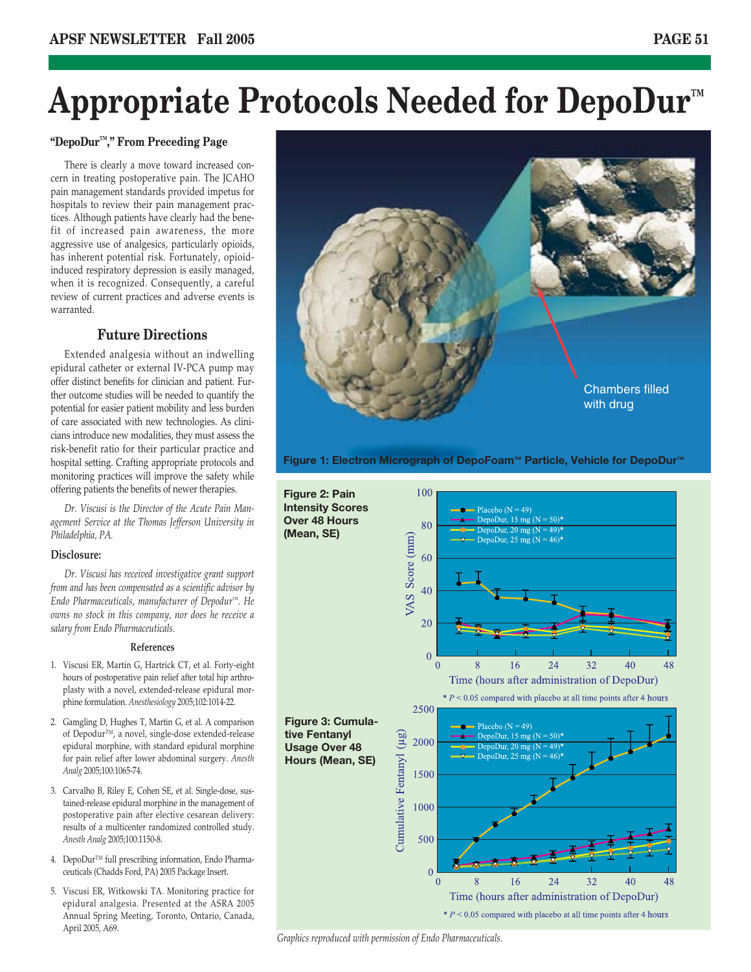# **Appropriate Protocols Needed for DepoDur™**

#### **"DepoDur™," From Preceding Page**

There is clearly a move toward increased concern in treating postoperative pain. The JCAHO pain management standards provided impetus for hospitals to review their pain management practices. Although patients have clearly had the benefit of increased pain awareness, the more aggressive use of analgesics, particularly opioids, has inherent potential risk. Fortunately, opioidinduced respiratory depression is easily managed, when it is recognized. Consequently, a careful review of current practices and adverse events is warranted.

#### **Future Directions**

Extended analgesia without an indwelling epidural catheter or external IV-PCA pump may offer distinct benefits for clinician and patient. Further outcome studies will be needed to quantify the potential for easier patient mobility and less burden of care associated with new technologies. As clinicians introduce new modalities, they must assess the risk-benefit ratio for their particular practice and hospital setting. Crafting appropriate protocols and monitoring practices will improve the safety while offering patients the benefits of newer therapies.

*Dr. Viscusi is the Director of the Acute Pain Management Service at the Thomas Jefferson University in Philadelphia, PA.* 

#### **Disclosure:**

*Dr. Viscusi has received investigative grant support from and has been compensated as a scientific advisor by Endo Pharmaceuticals, manufacturer of Depodur™. He owns no stock in this company, nor does he receive a salary from Endo Pharmaceuticals.*

#### **References**

- 1. Viscusi ER, Martin G, Hartrick CT, et al. Forty-eight hours of postoperative pain relief after total hip arthroplasty with a novel, extended-release epidural morphine formulation. *Anesthesiology* 2005;102:1014-22.
- 2. Gamgling D, Hughes T, Martin G, et al. A comparison of Depodur™, a novel, single-dose extended-release epidural morphine, with standard epidural morphine for pain relief after lower abdominal surgery. *Anesth Analg* 2005;100:1065-74.
- 3. Carvalho B, Riley E, Cohen SE, et al. Single-dose, sustained-release epidural morphine in the management of postoperative pain after elective cesarean delivery: results of a multicenter randomized controlled study. *Anesth Analg* 2005;100:1150-8.
- 4. DepoDur™ full prescribing information, Endo Pharmaceuticals (Chadds Ford, PA) 2005 Package Insert.
- 5. Viscusi ER, Witkowski TA. Monitoring practice for epidural analgesia. Presented at the ASRA 2005 Annual Spring Meeting, Toronto, Ontario, Canada, April 2005, A69.



**Figure 1: Electron Micrograph of DepoFoam™ Particle, Vehicle for DepoDur™**



*Graphics reproduced with permission of Endo Pharmaceuticals.*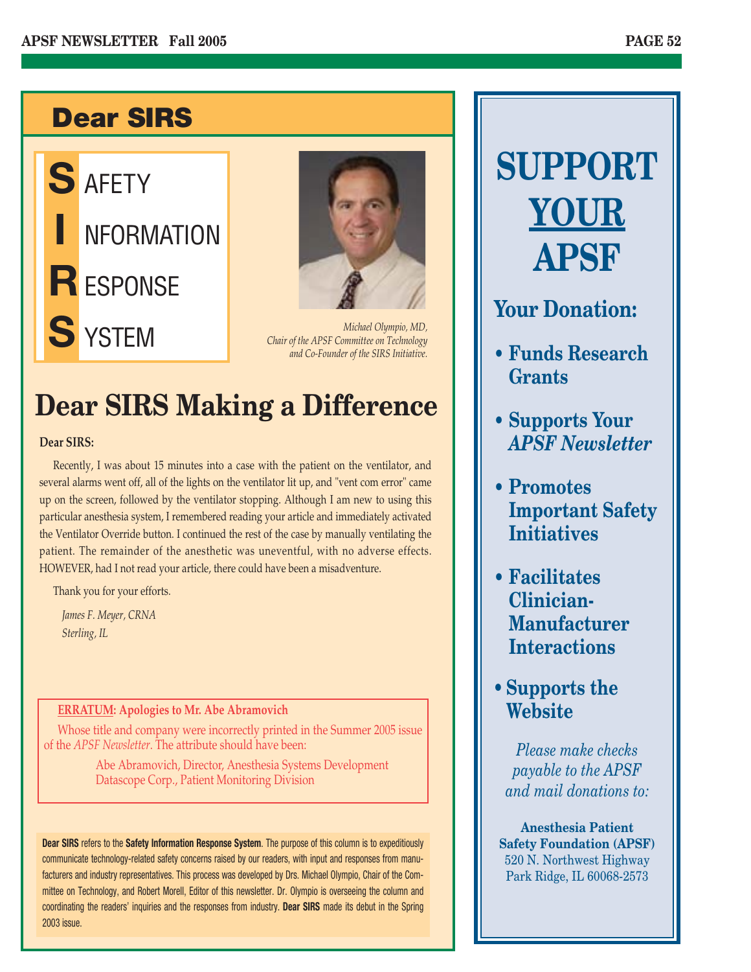# **Dear SIRS**





*Michael Olympio, MD, Chair of the APSF Committee on Technology and Co-Founder of the SIRS Initiative.*

# **Dear SIRS Making a Difference**

#### **Dear SIRS:**

Recently, I was about 15 minutes into a case with the patient on the ventilator, and several alarms went off, all of the lights on the ventilator lit up, and "vent com error" came up on the screen, followed by the ventilator stopping. Although I am new to using this particular anesthesia system, I remembered reading your article and immediately activated the Ventilator Override button. I continued the rest of the case by manually ventilating the patient. The remainder of the anesthetic was uneventful, with no adverse effects. HOWEVER, had I not read your article, there could have been a misadventure.

Thank you for your efforts.

*James F. Meyer, CRNA Sterling, IL*

#### **ERRATUM: Apologies to Mr. Abe Abramovich**

Whose title and company were incorrectly printed in the Summer 2005 issue of the *APSF Newsletter*. The attribute should have been:

> Abe Abramovich, Director, Anesthesia Systems Development Datascope Corp., Patient Monitoring Division

**Dear SIRS** refers to the **Safety Information Response System**. The purpose of this column is to expeditiously communicate technology-related safety concerns raised by our readers, with input and responses from manufacturers and industry representatives. This process was developed by Drs. Michael Olympio, Chair of the Committee on Technology, and Robert Morell, Editor of this newsletter. Dr. Olympio is overseeing the column and coordinating the readers' inquiries and the responses from industry. **Dear SIRS** made its debut in the Spring 2003 issue.

# **SUPPORT YOUR APSF**

### **Your Donation:**

- **Funds Research Grants**
- **Supports Your** *APSF Newsletter*
- **Promotes Important Safety Initiatives**
- **Facilitates Clinician-Manufacturer Interactions**
- **Supports the Website**

*Please make checks payable to the APSF and mail donations to:*

**Anesthesia Patient Safety Foundation (APSF)** 520 N. Northwest Highway Park Ridge, IL 60068-2573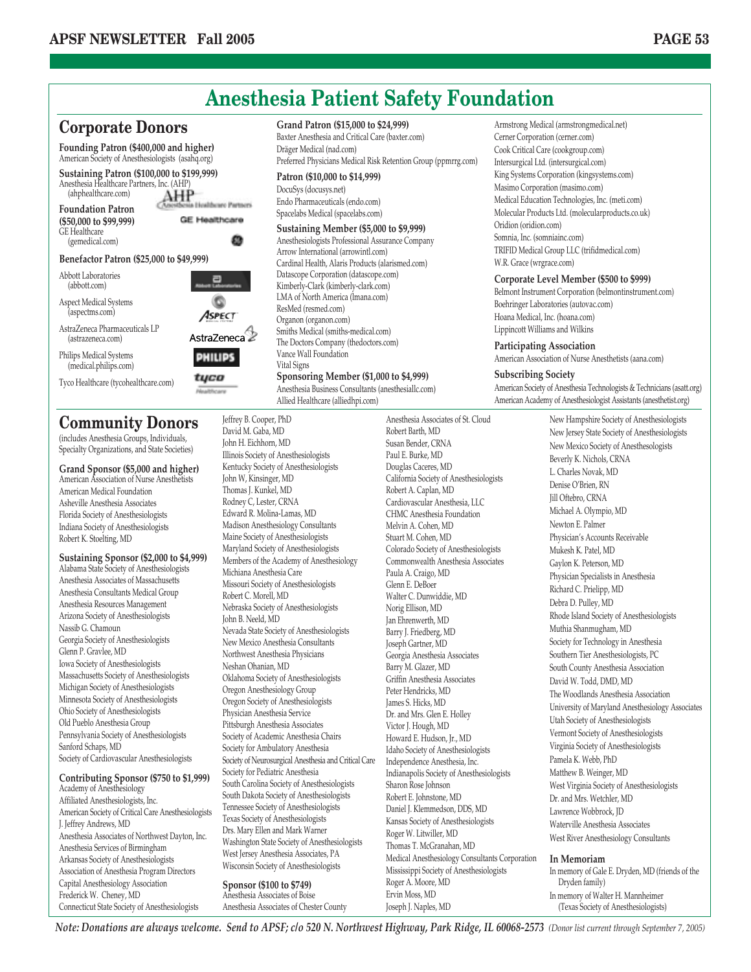

American Association of Nurse Anesthetists American Medical Foundation Asheville Anesthesia Associates Florida Society of Anesthesiologists Indiana Society of Anesthesiologists Robert K. Stoelting, MD

#### **Sustaining Sponsor (\$2,000 to \$4,999)** Alabama State Society of Anesthesiologists

Anesthesia Associates of Massachusetts Anesthesia Consultants Medical Group Anesthesia Resources Management Arizona Society of Anesthesiologists Nassib G. Chamoun Georgia Society of Anesthesiologists Glenn P. Gravlee, MD Iowa Society of Anesthesiologists Massachusetts Society of Anesthesiologists Michigan Society of Anesthesiologists Minnesota Society of Anesthesiologists Ohio Society of Anesthesiologists Old Pueblo Anesthesia Group Pennsylvania Society of Anesthesiologists Sanford Schaps, MD Society of Cardiovascular Anesthesiologists

#### **Contributing Sponsor (\$750 to \$1,999)**

Academy of Anesthesiology Affiliated Anesthesiologists, Inc. American Society of Critical Care Anesthesiologists J. Jeffrey Andrews, MD Anesthesia Associates of Northwest Dayton, Inc. Anesthesia Services of Birmingham Arkansas Society of Anesthesiologists Association of Anesthesia Program Directors Capital Anesthesiology Association Frederick W. Cheney, MD Connecticut State Society of Anesthesiologists

John W, Kinsinger, MD Thomas J. Kunkel, MD Rodney C, Lester, CRNA Edward R. Molina-Lamas, MD Madison Anesthesiology Consultants Maine Society of Anesthesiologists Maryland Society of Anesthesiologists Members of the Academy of Anesthesiology Michiana Anesthesia Care Missouri Society of Anesthesiologists Robert C. Morell, MD Nebraska Society of Anesthesiologists John B. Neeld, MD Nevada State Society of Anesthesiologists New Mexico Anesthesia Consultants Northwest Anesthesia Physicians Neshan Ohanian, MD Oklahoma Society of Anesthesiologists Oregon Anesthesiology Group Oregon Society of Anesthesiologists Physician Anesthesia Service Pittsburgh Anesthesia Associates Society of Academic Anesthesia Chairs Society for Ambulatory Anesthesia Society of Neurosurgical Anesthesia and Critical Care Society for Pediatric Anesthesia South Carolina Society of Anesthesiologists South Dakota Society of Anesthesiologists Tennessee Society of Anesthesiologists Texas Society of Anesthesiologists Drs. Mary Ellen and Mark Warner Washington State Society of Anesthesiologists West Jersey Anesthesia Associates, PA Wisconsin Society of Anesthesiologists **Sponsor (\$100 to \$749)** Anesthesia Associates of Boise

Anesthesia Associates of Chester County

California Society of Anesthesiologists Robert A. Caplan, MD Cardiovascular Anesthesia, LLC CHMC Anesthesia Foundation Melvin A. Cohen, MD Stuart M. Cohen, MD Colorado Society of Anesthesiologists Commonwealth Anesthesia Associates Paula A. Craigo, MD Glenn E. DeBoer Walter C. Dunwiddie, MD Norig Ellison, MD Jan Ehrenwerth, MD Barry J. Friedberg, MD Joseph Gartner, MD Georgia Anesthesia Associates Barry M. Glazer, MD Griffin Anesthesia Associates Peter Hendricks, MD James S. Hicks, MD Dr. and Mrs. Glen E. Holley Victor J. Hough, MD Howard E. Hudson, Jr., MD Idaho Society of Anesthesiologists Independence Anesthesia, Inc. Indianapolis Society of Anesthesiologists Sharon Rose Johnson Robert E. Johnstone, MD Daniel J. Klemmedson, DDS, MD Kansas Society of Anesthesiologists Roger W. Litwiller, MD Thomas T. McGranahan, MD Medical Anesthesiology Consultants Corporation Mississippi Society of Anesthesiologists Roger A. Moore, MD Ervin Moss, MD

American Society of Anesthesia Technologists & Technicians (asatt.org)

L. Charles Novak, MD Denise O'Brien, RN Jill Oftebro, CRNA Michael A. Olympio, MD Newton E. Palmer Physician's Accounts Receivable Mukesh K. Patel, MD Gaylon K. Peterson, MD Physician Specialists in Anesthesia Richard C. Prielipp, MD Debra D. Pulley, MD Rhode Island Society of Anesthesiologists Muthia Shanmugham, MD Society for Technology in Anesthesia Southern Tier Anesthesiologists, PC South County Anesthesia Association David W. Todd, DMD, MD The Woodlands Anesthesia Association University of Maryland Anesthesiology Associates Utah Society of Anesthesiologists Vermont Society of Anesthesiologists Virginia Society of Anesthesiologists Pamela K. Webb, PhD Matthew B. Weinger, MD West Virginia Society of Anesthesiologists Dr. and Mrs. Wetchler, MD Lawrence Wobbrock, JD Waterville Anesthesia Associates West River Anesthesiology Consultants **In Memoriam**

In memory of Gale E. Dryden, MD (friends of the Dryden family) In memory of Walter H. Mannheimer (Texas Society of Anesthesiologists)

*Note: Donations are always welcome. Send to APSF; c/o 520 N. Northwest Highway, Park Ridge, IL 60068-2573 (Donor list current through September 7, 2005)*

Joseph J. Naples, MD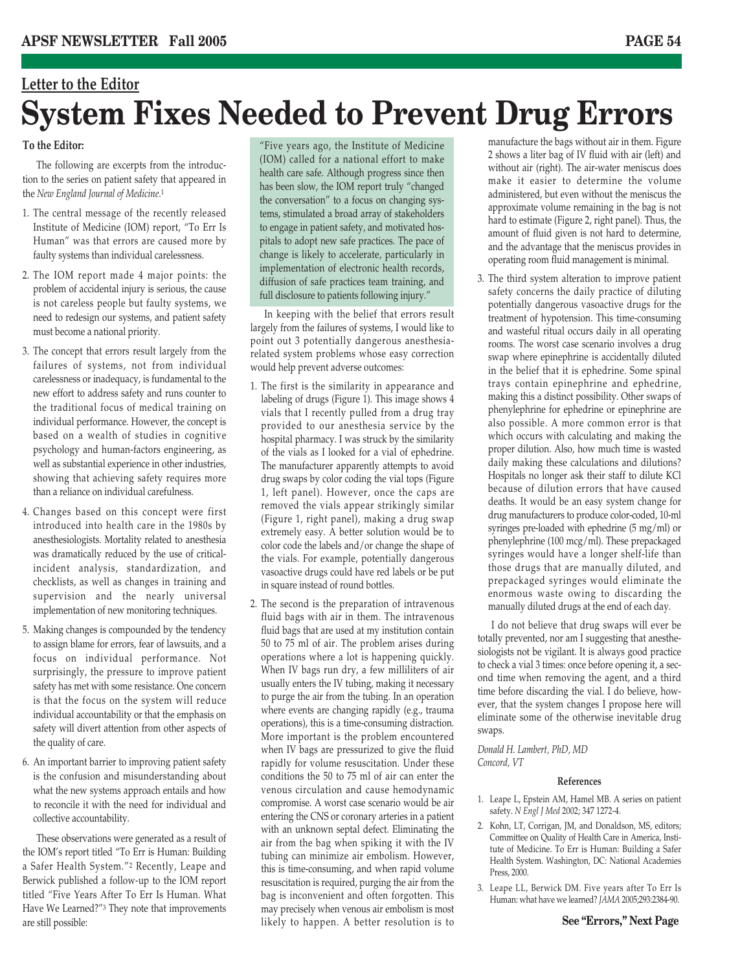# **Letter to the Editor System Fixes Needed to Prevent Drug Errors**

#### **To the Editor:**

The following are excerpts from the introduction to the series on patient safety that appeared in the *New England Journal of Medicine*.1

- 1. The central message of the recently released Institute of Medicine (IOM) report, "To Err Is Human" was that errors are caused more by faulty systems than individual carelessness.
- 2. The IOM report made 4 major points: the problem of accidental injury is serious, the cause is not careless people but faulty systems, we need to redesign our systems, and patient safety must become a national priority.
- 3. The concept that errors result largely from the failures of systems, not from individual carelessness or inadequacy, is fundamental to the new effort to address safety and runs counter to the traditional focus of medical training on individual performance. However, the concept is based on a wealth of studies in cognitive psychology and human-factors engineering, as well as substantial experience in other industries, showing that achieving safety requires more than a reliance on individual carefulness.
- 4. Changes based on this concept were first introduced into health care in the 1980s by anesthesiologists. Mortality related to anesthesia was dramatically reduced by the use of criticalincident analysis, standardization, and checklists, as well as changes in training and supervision and the nearly universal implementation of new monitoring techniques.
- 5. Making changes is compounded by the tendency to assign blame for errors, fear of lawsuits, and a focus on individual performance. Not surprisingly, the pressure to improve patient safety has met with some resistance. One concern is that the focus on the system will reduce individual accountability or that the emphasis on safety will divert attention from other aspects of the quality of care.
- 6. An important barrier to improving patient safety is the confusion and misunderstanding about what the new systems approach entails and how to reconcile it with the need for individual and collective accountability.

These observations were generated as a result of the IOM's report titled "To Err is Human: Building a Safer Health System."2 Recently, Leape and Berwick published a follow-up to the IOM report titled "Five Years After To Err Is Human. What Have We Learned?"3 They note that improvements are still possible:

"Five years ago, the Institute of Medicine (IOM) called for a national effort to make health care safe. Although progress since then has been slow, the IOM report truly "changed the conversation" to a focus on changing systems, stimulated a broad array of stakeholders to engage in patient safety, and motivated hospitals to adopt new safe practices. The pace of change is likely to accelerate, particularly in implementation of electronic health records, diffusion of safe practices team training, and full disclosure to patients following injury."

In keeping with the belief that errors result largely from the failures of systems, I would like to point out 3 potentially dangerous anesthesiarelated system problems whose easy correction would help prevent adverse outcomes:

- 1. The first is the similarity in appearance and labeling of drugs (Figure 1). This image shows 4 vials that I recently pulled from a drug tray provided to our anesthesia service by the hospital pharmacy. I was struck by the similarity of the vials as I looked for a vial of ephedrine. The manufacturer apparently attempts to avoid drug swaps by color coding the vial tops (Figure 1, left panel). However, once the caps are removed the vials appear strikingly similar (Figure 1, right panel), making a drug swap extremely easy. A better solution would be to color code the labels and/or change the shape of the vials. For example, potentially dangerous vasoactive drugs could have red labels or be put in square instead of round bottles.
- 2. The second is the preparation of intravenous fluid bags with air in them. The intravenous fluid bags that are used at my institution contain 50 to 75 ml of air. The problem arises during operations where a lot is happening quickly. When IV bags run dry, a few milliliters of air usually enters the IV tubing, making it necessary to purge the air from the tubing. In an operation where events are changing rapidly (e.g., trauma operations), this is a time-consuming distraction. More important is the problem encountered when IV bags are pressurized to give the fluid rapidly for volume resuscitation. Under these conditions the 50 to 75 ml of air can enter the venous circulation and cause hemodynamic compromise. A worst case scenario would be air entering the CNS or coronary arteries in a patient with an unknown septal defect. Eliminating the air from the bag when spiking it with the IV tubing can minimize air embolism. However, this is time-consuming, and when rapid volume resuscitation is required, purging the air from the bag is inconvenient and often forgotten. This may precisely when venous air embolism is most likely to happen. A better resolution is to

manufacture the bags without air in them. Figure 2 shows a liter bag of IV fluid with air (left) and without air (right). The air-water meniscus does make it easier to determine the volume administered, but even without the meniscus the approximate volume remaining in the bag is not hard to estimate (Figure 2, right panel). Thus, the amount of fluid given is not hard to determine, and the advantage that the meniscus provides in operating room fluid management is minimal.

3. The third system alteration to improve patient safety concerns the daily practice of diluting potentially dangerous vasoactive drugs for the treatment of hypotension. This time-consuming and wasteful ritual occurs daily in all operating rooms. The worst case scenario involves a drug swap where epinephrine is accidentally diluted in the belief that it is ephedrine. Some spinal trays contain epinephrine and ephedrine, making this a distinct possibility. Other swaps of phenylephrine for ephedrine or epinephrine are also possible. A more common error is that which occurs with calculating and making the proper dilution. Also, how much time is wasted daily making these calculations and dilutions? Hospitals no longer ask their staff to dilute KCl because of dilution errors that have caused deaths. It would be an easy system change for drug manufacturers to produce color-coded, 10-ml syringes pre-loaded with ephedrine (5 mg/ml) or phenylephrine (100 mcg/ml). These prepackaged syringes would have a longer shelf-life than those drugs that are manually diluted, and prepackaged syringes would eliminate the enormous waste owing to discarding the manually diluted drugs at the end of each day.

I do not believe that drug swaps will ever be totally prevented, nor am I suggesting that anesthesiologists not be vigilant. It is always good practice to check a vial 3 times: once before opening it, a second time when removing the agent, and a third time before discarding the vial. I do believe, however, that the system changes I propose here will eliminate some of the otherwise inevitable drug swaps.

*Donald H. Lambert, PhD, MD Concord, VT*

#### **References**

- 1. Leape L, Epstein AM, Hamel MB. A series on patient safety. *N Engl J Med* 2002; 347 1272-4.
- 2. Kohn, LT, Corrigan, JM, and Donaldson, MS, editors; Committee on Quality of Health Care in America, Institute of Medicine. To Err is Human: Building a Safer Health System. Washington, DC: National Academies Press, 2000.
- 3. Leape LL, Berwick DM. Five years after To Err Is Human: what have we learned? *JAMA* 2005;293:2384-90.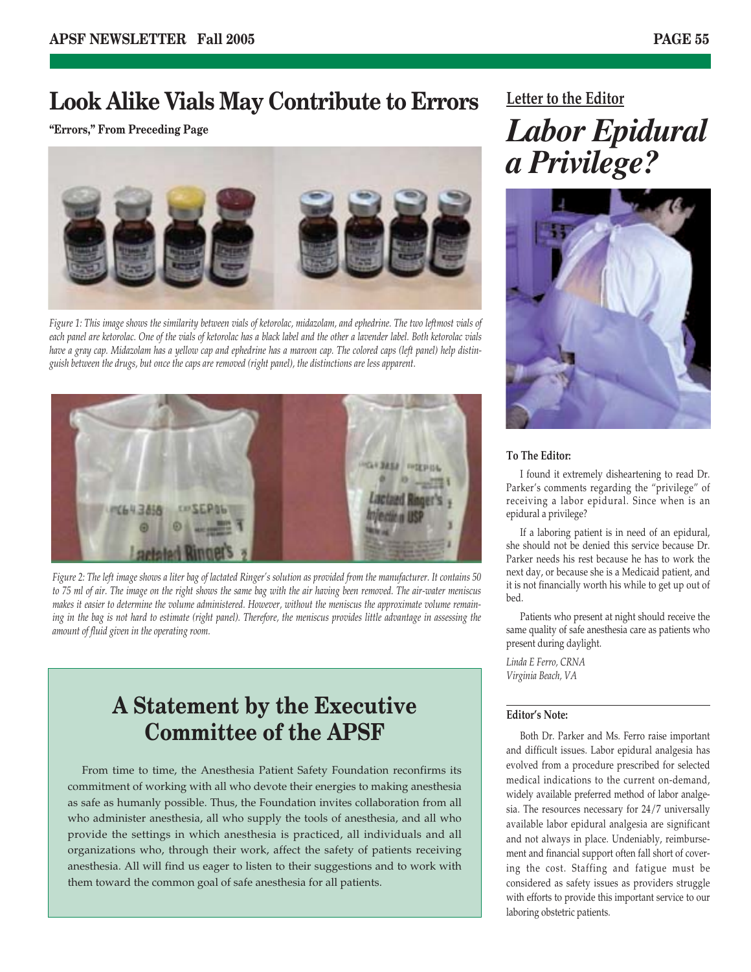### **Look Alike Vials May Contribute to Errors**

**"Errors," From Preceding Page**



*Figure 1: This image shows the similarity between vials of ketorolac, midazolam, and ephedrine. The two leftmost vials of each panel are ketorolac. One of the vials of ketorolac has a black label and the other a lavender label. Both ketorolac vials have a gray cap. Midazolam has a yellow cap and ephedrine has a maroon cap. The colored caps (left panel) help distinguish between the drugs, but once the caps are removed (right panel), the distinctions are less apparent.*



*Figure 2: The left image shows a liter bag of lactated Ringer's solution as provided from the manufacturer. It contains 50 to 75 ml of air. The image on the right shows the same bag with the air having been removed. The air-water meniscus makes it easier to determine the volume administered. However, without the meniscus the approximate volume remaining in the bag is not hard to estimate (right panel). Therefore, the meniscus provides little advantage in assessing the amount of fluid given in the operating room.*

### **A Statement by the Executive Committee of the APSF**

From time to time, the Anesthesia Patient Safety Foundation reconfirms its commitment of working with all who devote their energies to making anesthesia as safe as humanly possible. Thus, the Foundation invites collaboration from all who administer anesthesia, all who supply the tools of anesthesia, and all who provide the settings in which anesthesia is practiced, all individuals and all organizations who, through their work, affect the safety of patients receiving anesthesia. All will find us eager to listen to their suggestions and to work with them toward the common goal of safe anesthesia for all patients.

**Letter to the Editor**

# *Labor Epidural a Privilege?*



#### **To The Editor:**

I found it extremely disheartening to read Dr. Parker's comments regarding the "privilege" of receiving a labor epidural. Since when is an epidural a privilege?

If a laboring patient is in need of an epidural, she should not be denied this service because Dr. Parker needs his rest because he has to work the next day, or because she is a Medicaid patient, and it is not financially worth his while to get up out of bed.

Patients who present at night should receive the same quality of safe anesthesia care as patients who present during daylight.

*Linda E Ferro, CRNA Virginia Beach, VA*

#### **Editor's Note:**

Both Dr. Parker and Ms. Ferro raise important and difficult issues. Labor epidural analgesia has evolved from a procedure prescribed for selected medical indications to the current on-demand, widely available preferred method of labor analgesia. The resources necessary for 24/7 universally available labor epidural analgesia are significant and not always in place. Undeniably, reimbursement and financial support often fall short of covering the cost. Staffing and fatigue must be considered as safety issues as providers struggle with efforts to provide this important service to our laboring obstetric patients.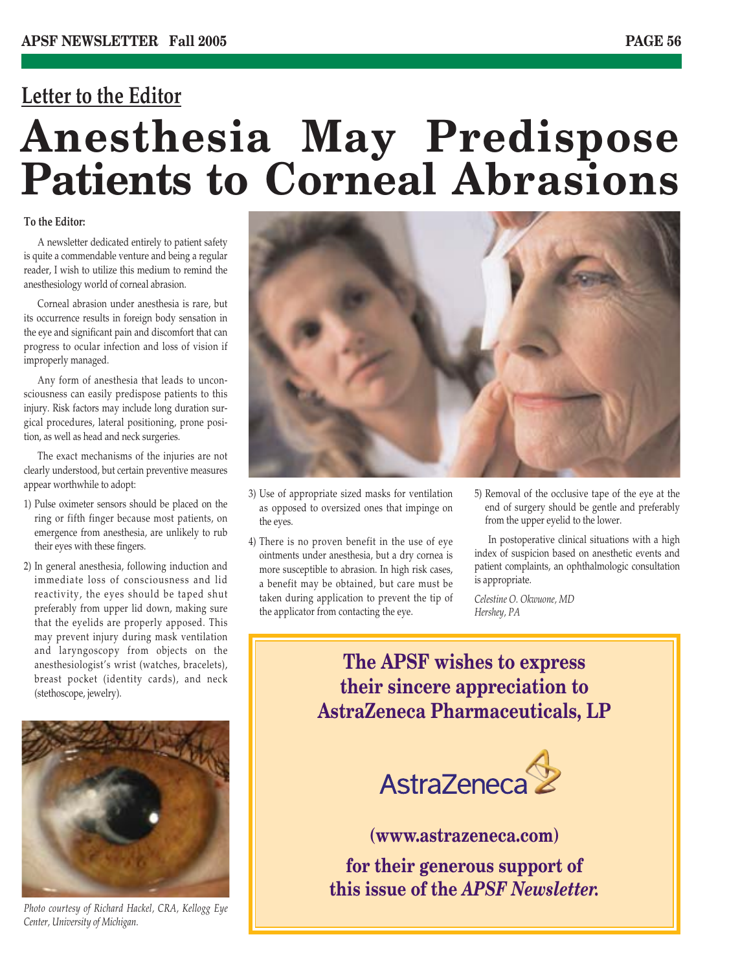# **Letter to the Editor Anesthesia May Predispose Patients to Corneal Abrasions**

#### **To the Editor:**

A newsletter dedicated entirely to patient safety is quite a commendable venture and being a regular reader, I wish to utilize this medium to remind the anesthesiology world of corneal abrasion.

Corneal abrasion under anesthesia is rare, but its occurrence results in foreign body sensation in the eye and significant pain and discomfort that can progress to ocular infection and loss of vision if improperly managed.

Any form of anesthesia that leads to unconsciousness can easily predispose patients to this injury. Risk factors may include long duration surgical procedures, lateral positioning, prone position, as well as head and neck surgeries.

The exact mechanisms of the injuries are not clearly understood, but certain preventive measures appear worthwhile to adopt:

- 1) Pulse oximeter sensors should be placed on the ring or fifth finger because most patients, on emergence from anesthesia, are unlikely to rub their eyes with these fingers.
- 2) In general anesthesia, following induction and immediate loss of consciousness and lid reactivity, the eyes should be taped shut preferably from upper lid down, making sure that the eyelids are properly apposed. This may prevent injury during mask ventilation and laryngoscopy from objects on the anesthesiologist's wrist (watches, bracelets), breast pocket (identity cards), and neck (stethoscope, jewelry).



*Photo courtesy of Richard Hackel, CRA, Kellogg Eye Center, University of Michigan.*



- 3) Use of appropriate sized masks for ventilation as opposed to oversized ones that impinge on the eyes.
- 4) There is no proven benefit in the use of eye ointments under anesthesia, but a dry cornea is more susceptible to abrasion. In high risk cases, a benefit may be obtained, but care must be taken during application to prevent the tip of the applicator from contacting the eye.
- 5) Removal of the occlusive tape of the eye at the end of surgery should be gentle and preferably from the upper eyelid to the lower.

In postoperative clinical situations with a high index of suspicion based on anesthetic events and patient complaints, an ophthalmologic consultation is appropriate.

*Celestine O. Okwuone, MD Hershey, PA*

### **The APSF wishes to express their sincere appreciation to AstraZeneca Pharmaceuticals, LP**



**(www.astrazeneca.com)**

**for their generous support of this issue of the** *APSF Newsletter.*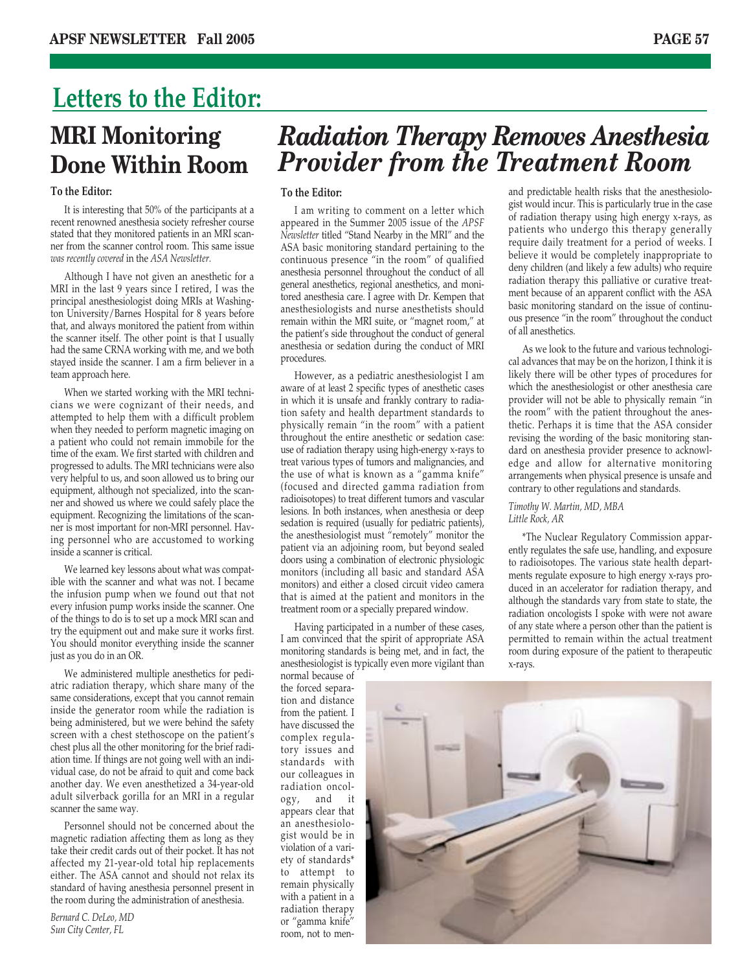# **Letters to the Editor: MRI Monitoring Done Within Room**

#### **To the Editor:**

It is interesting that 50% of the participants at a recent renowned anesthesia society refresher course stated that they monitored patients in an MRI scanner from the scanner control room. This same issue *was recently covered* in the *ASA Newsletter.*

Although I have not given an anesthetic for a MRI in the last 9 years since I retired, I was the principal anesthesiologist doing MRIs at Washington University/Barnes Hospital for 8 years before that, and always monitored the patient from within the scanner itself. The other point is that I usually had the same CRNA working with me, and we both stayed inside the scanner. I am a firm believer in a team approach here.

When we started working with the MRI technicians we were cognizant of their needs, and attempted to help them with a difficult problem when they needed to perform magnetic imaging on a patient who could not remain immobile for the time of the exam. We first started with children and progressed to adults. The MRI technicians were also very helpful to us, and soon allowed us to bring our equipment, although not specialized, into the scanner and showed us where we could safely place the equipment. Recognizing the limitations of the scanner is most important for non-MRI personnel. Having personnel who are accustomed to working inside a scanner is critical.

We learned key lessons about what was compatible with the scanner and what was not. I became the infusion pump when we found out that not every infusion pump works inside the scanner. One of the things to do is to set up a mock MRI scan and try the equipment out and make sure it works first. You should monitor everything inside the scanner just as you do in an OR.

We administered multiple anesthetics for pediatric radiation therapy, which share many of the same considerations, except that you cannot remain inside the generator room while the radiation is being administered, but we were behind the safety screen with a chest stethoscope on the patient's chest plus all the other monitoring for the brief radiation time. If things are not going well with an individual case, do not be afraid to quit and come back another day. We even anesthetized a 34-year-old adult silverback gorilla for an MRI in a regular scanner the same way.

Personnel should not be concerned about the magnetic radiation affecting them as long as they take their credit cards out of their pocket. It has not affected my 21-year-old total hip replacements either. The ASA cannot and should not relax its standard of having anesthesia personnel present in the room during the administration of anesthesia.

*Bernard C. DeLeo, MD Sun City Center, FL*

# *Radiation Therapy Removes Anesthesia Provider from the Treatment Room*

#### **To the Editor:**

I am writing to comment on a letter which appeared in the Summer 2005 issue of the *APSF Newsletter* titled "Stand Nearby in the MRI" and the ASA basic monitoring standard pertaining to the continuous presence "in the room" of qualified anesthesia personnel throughout the conduct of all general anesthetics, regional anesthetics, and monitored anesthesia care. I agree with Dr. Kempen that anesthesiologists and nurse anesthetists should remain within the MRI suite, or "magnet room," at the patient's side throughout the conduct of general anesthesia or sedation during the conduct of MRI procedures.

However, as a pediatric anesthesiologist I am aware of at least 2 specific types of anesthetic cases in which it is unsafe and frankly contrary to radiation safety and health department standards to physically remain "in the room" with a patient throughout the entire anesthetic or sedation case: use of radiation therapy using high-energy x-rays to treat various types of tumors and malignancies, and the use of what is known as a "gamma knife" (focused and directed gamma radiation from radioisotopes) to treat different tumors and vascular lesions. In both instances, when anesthesia or deep sedation is required (usually for pediatric patients), the anesthesiologist must "remotely" monitor the patient via an adjoining room, but beyond sealed doors using a combination of electronic physiologic monitors (including all basic and standard ASA monitors) and either a closed circuit video camera that is aimed at the patient and monitors in the treatment room or a specially prepared window.

Having participated in a number of these cases, I am convinced that the spirit of appropriate ASA monitoring standards is being met, and in fact, the anesthesiologist is typically even more vigilant than

normal because of the forced separation and distance from the patient. I have discussed the complex regulatory issues and standards with our colleagues in radiation oncology, and it appears clear that an anesthesiologist would be in violation of a variety of standards\* to attempt to remain physically with a patient in a radiation therapy or "gamma knife" room, not to menand predictable health risks that the anesthesiologist would incur. This is particularly true in the case of radiation therapy using high energy x-rays, as patients who undergo this therapy generally require daily treatment for a period of weeks. I believe it would be completely inappropriate to deny children (and likely a few adults) who require radiation therapy this palliative or curative treatment because of an apparent conflict with the ASA basic monitoring standard on the issue of continuous presence "in the room" throughout the conduct of all anesthetics.

As we look to the future and various technological advances that may be on the horizon, I think it is likely there will be other types of procedures for which the anesthesiologist or other anesthesia care provider will not be able to physically remain "in the room" with the patient throughout the anesthetic. Perhaps it is time that the ASA consider revising the wording of the basic monitoring standard on anesthesia provider presence to acknowledge and allow for alternative monitoring arrangements when physical presence is unsafe and contrary to other regulations and standards.

*Timothy W. Martin, MD, MBA Little Rock, AR*

\*The Nuclear Regulatory Commission apparently regulates the safe use, handling, and exposure to radioisotopes. The various state health departments regulate exposure to high energy x-rays produced in an accelerator for radiation therapy, and although the standards vary from state to state, the radiation oncologists I spoke with were not aware of any state where a person other than the patient is permitted to remain within the actual treatment room during exposure of the patient to therapeutic x-rays.

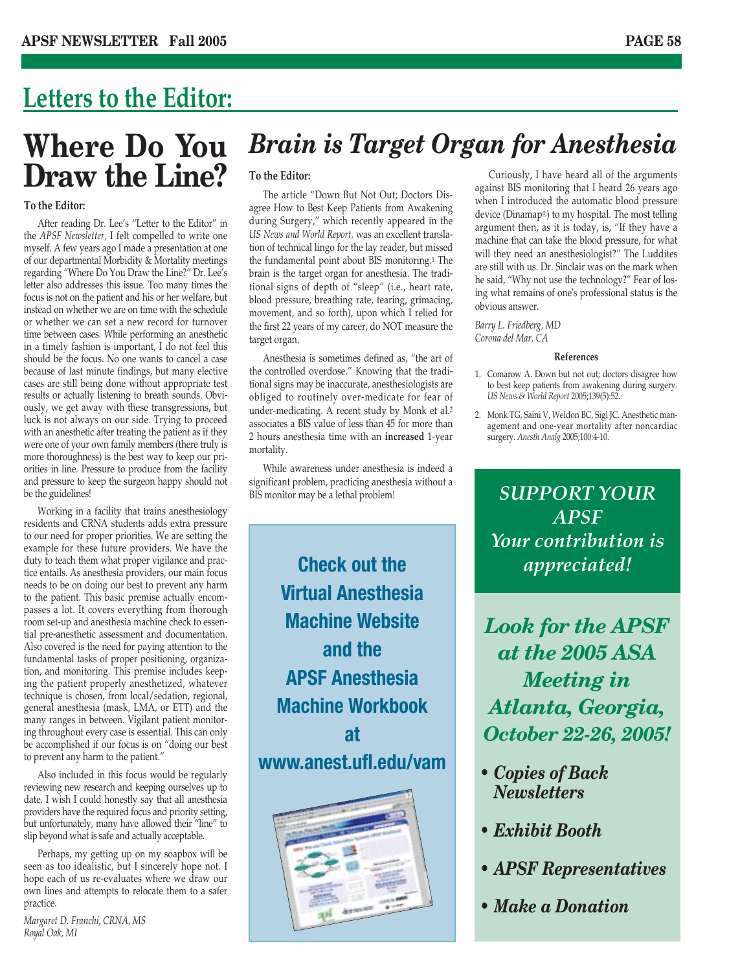# **Letters to the Editor:**

# **Where Do You Draw the Line?**

#### **To the Editor:**

After reading Dr. Lee's "Letter to the Editor" in the *APSF Newsletter,* I felt compelled to write one myself. A few years ago I made a presentation at one of our departmental Morbidity & Mortality meetings regarding "Where Do You Draw the Line?" Dr. Lee's letter also addresses this issue. Too many times the focus is not on the patient and his or her welfare, but instead on whether we are on time with the schedule or whether we can set a new record for turnover time between cases. While performing an anesthetic in a timely fashion is important, I do not feel this should be the focus. No one wants to cancel a case because of last minute findings, but many elective cases are still being done without appropriate test results or actually listening to breath sounds. Obviously, we get away with these transgressions, but luck is not always on our side. Trying to proceed with an anesthetic after treating the patient as if they were one of your own family members (there truly is more thoroughness) is the best way to keep our priorities in line. Pressure to produce from the facility and pressure to keep the surgeon happy should not be the guidelines!

Working in a facility that trains anesthesiology residents and CRNA students adds extra pressure to our need for proper priorities. We are setting the example for these future providers. We have the duty to teach them what proper vigilance and practice entails. As anesthesia providers, our main focus needs to be on doing our best to prevent any harm to the patient. This basic premise actually encompasses a lot. It covers everything from thorough room set-up and anesthesia machine check to essential pre-anesthetic assessment and documentation. Also covered is the need for paying attention to the fundamental tasks of proper positioning, organization, and monitoring. This premise includes keeping the patient properly anesthetized, whatever technique is chosen, from local/sedation, regional, general anesthesia (mask, LMA, or ETT) and the many ranges in between. Vigilant patient monitoring throughout every case is essential. This can only be accomplished if our focus is on "doing our best to prevent any harm to the patient."

Also included in this focus would be regularly reviewing new research and keeping ourselves up to date. I wish I could honestly say that all anesthesia providers have the required focus and priority setting, but unfortunately, many have allowed their "line" to slip beyond what is safe and actually acceptable.

Perhaps, my getting up on my soapbox will be seen as too idealistic, but I sincerely hope not. I hope each of us re-evaluates where we draw our own lines and attempts to relocate them to a safer practice.

*Margaret D. Franchi, CRNA, MS Royal Oak, MI*

# *Brain is Target Organ for Anesthesia*

#### **To the Editor:**

The article "Down But Not Out; Doctors Disagree How to Best Keep Patients from Awakening during Surgery," which recently appeared in the *US News and World Report,* was an excellent translation of technical lingo for the lay reader, but missed the fundamental point about BIS monitoring.1 The brain is the target organ for anesthesia. The traditional signs of depth of "sleep" (i.e., heart rate, blood pressure, breathing rate, tearing, grimacing, movement, and so forth), upon which I relied for the first 22 years of my career, do NOT measure the target organ.

Anesthesia is sometimes defined as, "the art of the controlled overdose." Knowing that the traditional signs may be inaccurate, anesthesiologists are obliged to routinely over-medicate for fear of under-medicating. A recent study by Monk et al.2 associates a BIS value of less than 45 for more than 2 hours anesthesia time with an **increased** 1-year mortality.

While awareness under anesthesia is indeed a significant problem, practicing anesthesia without a BIS monitor may be a lethal problem!

**Check out the Virtual Anesthesia Machine Website and the APSF Anesthesia Machine Workbook at www.anest.ufl.edu/vam**



Curiously, I have heard all of the arguments against BIS monitoring that I heard 26 years ago when I introduced the automatic blood pressure device (Dinamap®) to my hospital. The most telling argument then, as it is today, is, "If they have a machine that can take the blood pressure, for what will they need an anesthesiologist?" The Luddites are still with us. Dr. Sinclair was on the mark when he said, "Why not use the technology?" Fear of losing what remains of one's professional status is the obvious answer.

*Barry L. Friedberg, MD Corona del Mar, CA* 

#### **References**

- 1. Comarow A. Down but not out; doctors disagree how to best keep patients from awakening during surgery. *US News & World Report* 2005;139(5):52.
- 2. Monk TG, Saini V, Weldon BC, Sigl JC. Anesthetic management and one-year mortality after noncardiac surgery. *Anesth Analg* 2005;100:4-10.

*SUPPORT YOUR APSF Your contribution is appreciated!*

*Look for the APSF at the 2005 ASA Meeting in Atlanta, Georgia, October 22-26, 2005!*

- *Copies of Back Newsletters*
- *Exhibit Booth*
- *APSF Representatives*
- *Make a Donation*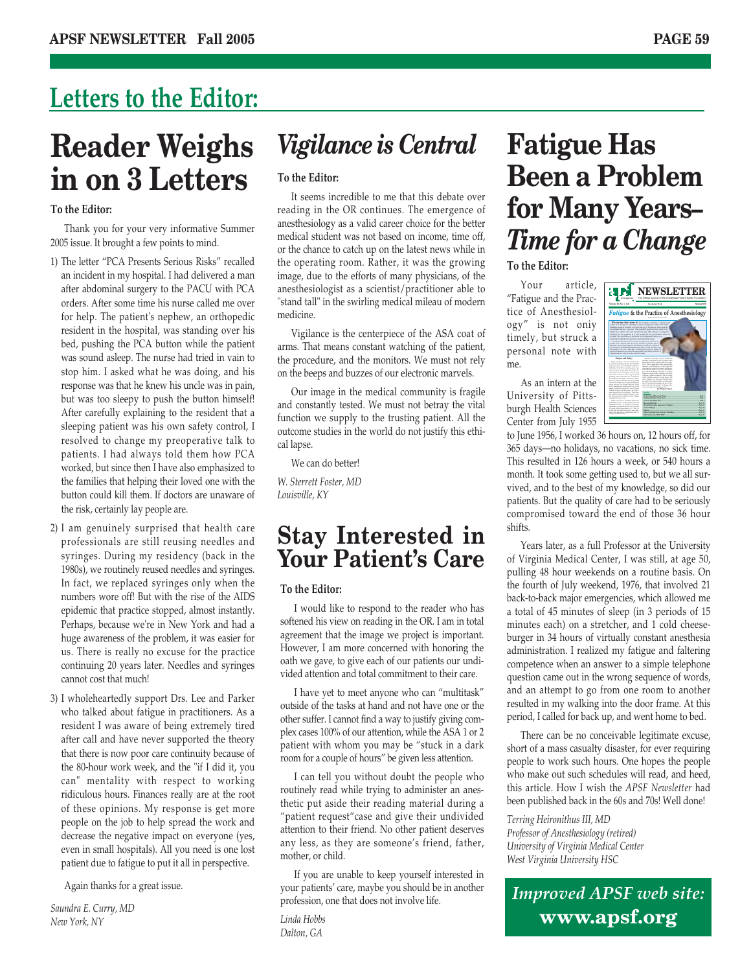# **Letters to the Editor:**

# **Reader Weighs in on 3 Letters**

#### **To the Editor:**

Thank you for your very informative Summer 2005 issue. It brought a few points to mind.

- 1) The letter "PCA Presents Serious Risks" recalled an incident in my hospital. I had delivered a man after abdominal surgery to the PACU with PCA orders. After some time his nurse called me over for help. The patient's nephew, an orthopedic resident in the hospital, was standing over his bed, pushing the PCA button while the patient was sound asleep. The nurse had tried in vain to stop him. I asked what he was doing, and his response was that he knew his uncle was in pain, but was too sleepy to push the button himself! After carefully explaining to the resident that a sleeping patient was his own safety control, I resolved to change my preoperative talk to patients. I had always told them how PCA worked, but since then I have also emphasized to the families that helping their loved one with the button could kill them. If doctors are unaware of the risk, certainly lay people are.
- 2) I am genuinely surprised that health care professionals are still reusing needles and syringes. During my residency (back in the 1980s), we routinely reused needles and syringes. In fact, we replaced syringes only when the numbers wore off! But with the rise of the AIDS epidemic that practice stopped, almost instantly. Perhaps, because we're in New York and had a huge awareness of the problem, it was easier for us. There is really no excuse for the practice continuing 20 years later. Needles and syringes cannot cost that much!
- 3) I wholeheartedly support Drs. Lee and Parker who talked about fatigue in practitioners. As a resident I was aware of being extremely tired after call and have never supported the theory that there is now poor care continuity because of the 80-hour work week, and the "if I did it, you can" mentality with respect to working ridiculous hours. Finances really are at the root of these opinions. My response is get more people on the job to help spread the work and decrease the negative impact on everyone (yes, even in small hospitals). All you need is one lost patient due to fatigue to put it all in perspective.

Again thanks for a great issue.

*Saundra E. Curry, MD New York, NY*

# *Vigilance is Central*

#### **To the Editor:**

It seems incredible to me that this debate over reading in the OR continues. The emergence of anesthesiology as a valid career choice for the better medical student was not based on income, time off, or the chance to catch up on the latest news while in the operating room. Rather, it was the growing image, due to the efforts of many physicians, of the anesthesiologist as a scientist/practitioner able to "stand tall" in the swirling medical mileau of modern medicine.

Vigilance is the centerpiece of the ASA coat of arms. That means constant watching of the patient, the procedure, and the monitors. We must not rely on the beeps and buzzes of our electronic marvels.

Our image in the medical community is fragile and constantly tested. We must not betray the vital function we supply to the trusting patient. All the outcome studies in the world do not justify this ethical lapse.

We can do better!

*W. Sterrett Foster, MD Louisville, KY*

### **Stay Interested in Your Patient's Care**

#### **To the Editor:**

I would like to respond to the reader who has softened his view on reading in the OR. I am in total agreement that the image we project is important. However, I am more concerned with honoring the oath we gave, to give each of our patients our undivided attention and total commitment to their care.

I have yet to meet anyone who can "multitask" outside of the tasks at hand and not have one or the other suffer. I cannot find a way to justify giving complex cases 100% of our attention, while the ASA 1 or 2 patient with whom you may be "stuck in a dark room for a couple of hours" be given less attention.

I can tell you without doubt the people who routinely read while trying to administer an anesthetic put aside their reading material during a "patient request"case and give their undivided attention to their friend. No other patient deserves any less, as they are someone's friend, father, mother, or child.

If you are unable to keep yourself interested in your patients' care, maybe you should be in another profession, one that does not involve life.

*Linda Hobbs Dalton, GA*

# **Fatigue Has Been a Problem for Many Years–** *Time for a Change*

#### **To the Editor:**

Your article, "Fatigue and the Practice of Anesthesiology" is not oniy timely, but struck a personal note with me.

As an intern at the University of Pittsburgh Health Sciences Center from July 1955



to June 1956, I worked 36 hours on, 12 hours off, for 365 days—no holidays, no vacations, no sick time. This resulted in 126 hours a week, or 540 hours a month. It took some getting used to, but we all survived, and to the best of my knowledge, so did our patients. But the quality of care had to be seriously compromised toward the end of those 36 hour shifts.

Years later, as a full Professor at the University of Virginia Medical Center, I was still, at age 50, pulling 48 hour weekends on a routine basis. On the fourth of July weekend, 1976, that involved 21 back-to-back major emergencies, which allowed me a total of 45 minutes of sleep (in 3 periods of 15 minutes each) on a stretcher, and 1 cold cheeseburger in 34 hours of virtually constant anesthesia administration. I realized my fatigue and faltering competence when an answer to a simple telephone question came out in the wrong sequence of words, and an attempt to go from one room to another resulted in my walking into the door frame. At this period, I called for back up, and went home to bed.

There can be no conceivable legitimate excuse, short of a mass casualty disaster, for ever requiring people to work such hours. One hopes the people who make out such schedules will read, and heed, this article. How I wish the *APSF Newsletter* had been published back in the 60s and 70s! Well done!

*Terring Heironithus III, MD Professor of Anesthesiology (retired) University of Virginia Medical Center West Virginia University HSC*

*Improved APSF web site:* **www.apsf.org**